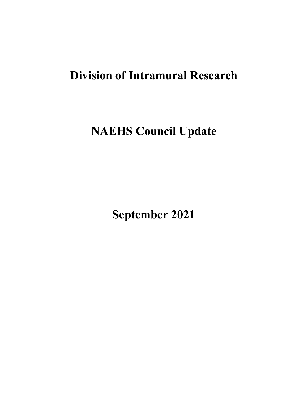# **Division of Intramural Research**

**NAEHS Council Update** 

**September 2021**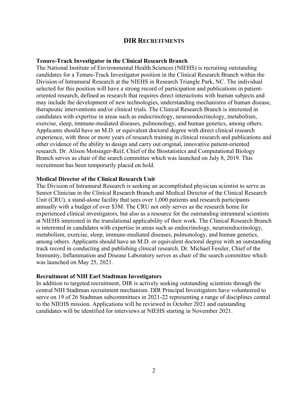# **DIR RECRUITMENTS**

## **Tenure-Track Investigator in the Clinical Research Branch**

The National Institute of Environmental Health Sciences (NIEHS) is recruiting outstanding candidates for a Tenure-Track Investigator position in the Clinical Research Branch within the Division of Intramural Research at the NIEHS in Research Triangle Park, NC. The individual selected for this position will have a strong record of participation and publications in patientoriented research, defined as research that requires direct interactions with human subjects and may include the development of new technologies, understanding mechanisms of human disease, therapeutic interventions and/or clinical trials. The Clinical Research Branch is interested in candidates with expertise in areas such as endocrinology, neuroendocrinology, metabolism, exercise, sleep, immune-mediated diseases, pulmonology, and human genetics, among others. Applicants should have an M.D. or equivalent doctoral degree with direct clinical research experience, with three or more years of research training in clinical research and publications and other evidence of the ability to design and carry out original, innovative patient-oriented research. Dr. Alison Motsinger-Reif, Chief of the Biostatistics and Computational Biology Branch serves as chair of the search committee which was launched on July 8, 2019. This recruitment has been temporarily placed on hold.

## **Medical Director of the Clinical Research Unit**

The Division of Intramural Research is seeking an accomplished physician scientist to serve as Senior Clinician in the Clinical Research Branch and Medical Director of the Clinical Research Unit (CRU), a stand-alone facility that sees over 1,000 patients and research participants annually with a budget of over \$3M. The CRU not only serves as the research home for experienced clinical investigators, but also as a resource for the outstanding intramural scientists at NIEHS interested in the translational applicability of their work. The Clinical Research Branch is interested in candidates with expertise in areas such as endocrinology, neuroendocrinology, metabolism, exercise, sleep, immune-mediated diseases, pulmonology, and human genetics, among others. Applicants should have an M.D. or equivalent doctoral degree with an outstanding track record in conducting and publishing clinical research. Dr. Michael Fessler, Chief of the Immunity, Inflammation and Disease Laboratory serves as chair of the search committee which was launched on May 25, 2021.

## **Recruitment of NIH Earl Stadtman Investigators**

In addition to targeted recruitment, DIR is actively seeking outstanding scientists through the central NIH Stadtman recruitment mechanism. DIR Principal Investigators have volunteered to serve on 19 of 26 Stadtman subcommittees in 2021-22 representing a range of disciplines central to the NIEHS mission. Applications will be reviewed in October 2021 and outstanding candidates will be identified for interviews at NIEHS starting in November 2021.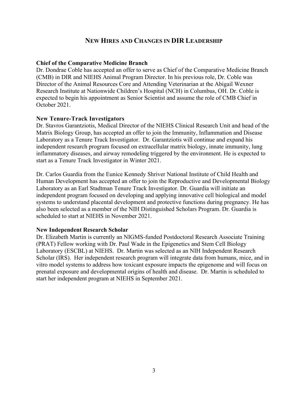# **NEW HIRES AND CHANGES IN DIR LEADERSHIP**

## **Chief of the Comparative Medicine Branch**

Dr. Dondrae Coble has accepted an offer to serve as Chief of the Comparative Medicine Branch (CMB) in DIR and NIEHS Animal Program Director. In his previous role, Dr. Coble was Director of the Animal Resources Core and Attending Veterinarian at the Abigail Wexner Research Institute at Nationwide Children's Hospital (NCH) in Columbus, OH. Dr. Coble is expected to begin his appointment as Senior Scientist and assume the role of CMB Chief in October 2021.

## **New Tenure-Track Investigators**

Dr. Stavros Garantziotis, Medical Director of the NIEHS Clinical Research Unit and head of the Matrix Biology Group, has accepted an offer to join the Immunity, Inflammation and Disease Laboratory as a Tenure Track Investigator. Dr. Garantziotis will continue and expand his independent research program focused on extracellular matrix biology, innate immunity, lung inflammatory diseases, and airway remodeling triggered by the environment. He is expected to start as a Tenure Track Investigator in Winter 2021.

Dr. Carlos Guardia from the Eunice Kennedy Shriver National Institute of Child Health and Human Development has accepted an offer to join the Reproductive and Developmental Biology Laboratory as an Earl Stadtman Tenure Track Investigator. Dr. Guardia will initiate an independent program focused on developing and applying innovative cell biological and model systems to understand placental development and protective functions during pregnancy. He has also been selected as a member of the NIH Distinguished Scholars Program. Dr. Guardia is scheduled to start at NIEHS in November 2021.

## **New Independent Research Scholar**

Dr. Elizabeth Martin is currently an NIGMS-funded Postdoctoral Research Associate Training (PRAT) Fellow working with Dr. Paul Wade in the Epigenetics and Stem Cell Biology Laboratory (ESCBL) at NIEHS. Dr. Martin was selected as an NIH Independent Research Scholar (IRS). Her independent research program will integrate data from humans, mice, and in vitro model systems to address how toxicant exposure impacts the epigenome and will focus on prenatal exposure and developmental origins of health and disease. Dr. Martin is scheduled to start her independent program at NIEHS in September 2021.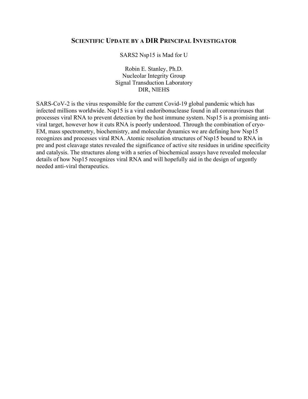# **SCIENTIFIC UPDATE BY A DIR PRINCIPAL INVESTIGATOR**

SARS2 Nsp15 is Mad for U

Robin E. Stanley, Ph.D. Nucleolar Integrity Group Signal Transduction Laboratory DIR, NIEHS

SARS-CoV-2 is the virus responsible for the current Covid-19 global pandemic which has infected millions worldwide. Nsp15 is a viral endoribonuclease found in all coronaviruses that processes viral RNA to prevent detection by the host immune system. Nsp15 is a promising antiviral target, however how it cuts RNA is poorly understood. Through the combination of cryo-EM, mass spectrometry, biochemistry, and molecular dynamics we are defining how Nsp15 recognizes and processes viral RNA. Atomic resolution structures of Nsp15 bound to RNA in pre and post cleavage states revealed the significance of active site residues in uridine specificity and catalysis. The structures along with a series of biochemical assays have revealed molecular details of how Nsp15 recognizes viral RNA and will hopefully aid in the design of urgently needed anti-viral therapeutics.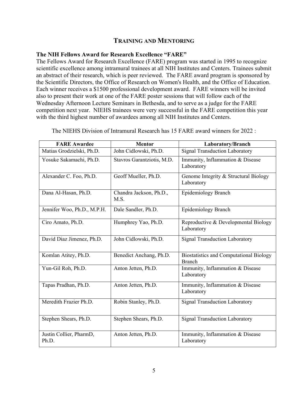# **TRAINING AND MENTORING**

# **The NIH Fellows Award for Research Excellence "FARE"**

The Fellows Award for Research Excellence (FARE) program was started in 1995 to recognize scientific excellence among intramural trainees at all NIH Institutes and Centers. Trainees submit an abstract of their research, which is peer reviewed. The FARE award program is sponsored by the Scientific Directors, the Office of Research on Women's Health, and the Office of Education. Each winner receives a \$1500 professional development award. FARE winners will be invited also to present their work at one of the FARE poster sessions that will follow each of the Wednesday Afternoon Lecture Seminars in Bethesda, and to serve as a judge for the FARE competition next year. NIEHS trainees were very successful in the FARE competition this year with the third highest number of awardees among all NIH Institutes and Centers.

| <b>FARE Awardee</b>              | <b>Mentor</b>                   | Laboratory/Branch                                               |
|----------------------------------|---------------------------------|-----------------------------------------------------------------|
| Matias Grodzielski, Ph.D.        | John Cidlowski, Ph.D.           | <b>Signal Transduction Laboratory</b>                           |
| Yosuke Sakamachi, Ph.D.          | Stavros Garantziotis, M.D.      | Immunity, Inflammation & Disease<br>Laboratory                  |
| Alexander C. Foo, Ph.D.          | Geoff Mueller, Ph.D.            | Genome Integrity & Structural Biology<br>Laboratory             |
| Dana Al-Hasan, Ph.D.             | Chandra Jackson, Ph.D.,<br>M.S. | Epidemiology Branch                                             |
| Jennifer Woo, Ph.D., M.P.H.      | Dale Sandler, Ph.D.             | <b>Epidemiology Branch</b>                                      |
| Ciro Amato, Ph.D.                | Humphrey Yao, Ph.D.             | Reproductive & Developmental Biology<br>Laboratory              |
| David Diaz Jimenez, Ph.D.        | John Cidlowski, Ph.D.           | <b>Signal Transduction Laboratory</b>                           |
| Komlan Atitey, Ph.D.             | Benedict Anchang, Ph.D.         | <b>Biostatistics and Computational Biology</b><br><b>Branch</b> |
| Yun-Gil Roh, Ph.D.               | Anton Jetten, Ph.D.             | Immunity, Inflammation & Disease<br>Laboratory                  |
| Tapas Pradhan, Ph.D.             | Anton Jetten, Ph.D.             | Immunity, Inflammation & Disease<br>Laboratory                  |
| Meredith Frazier Ph.D.           | Robin Stanley, Ph.D.            | <b>Signal Transduction Laboratory</b>                           |
| Stephen Shears, Ph.D.            | Stephen Shears, Ph.D.           | <b>Signal Transduction Laboratory</b>                           |
| Justin Collier, PharmD,<br>Ph.D. | Anton Jetten, Ph.D.             | Immunity, Inflammation & Disease<br>Laboratory                  |

The NIEHS Division of Intramural Research has 15 FARE award winners for 2022 :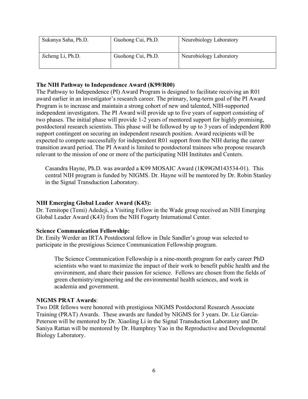| Sukanya Saha, Ph.D. | Guohong Cui, Ph.D. | Neurobiology Laboratory |
|---------------------|--------------------|-------------------------|
| Jicheng Li, Ph.D.   | Guohong Cui, Ph.D. | Neurobiology Laboratory |

## **The NIH Pathway to Independence Award (K99/R00)**

The Pathway to Independence (PI) Award Program is designed to facilitate receiving an R01 award earlier in an investigator's research career. The primary, long-term goal of the PI Award Program is to increase and maintain a strong cohort of new and talented, NIH-supported independent investigators. The PI Award will provide up to five years of support consisting of two phases. The initial phase will provide 1-2 years of mentored support for highly promising, postdoctoral research scientists. This phase will be followed by up to 3 years of independent R00 support contingent on securing an independent research position. Award recipients will be expected to compete successfully for independent R01 support from the NIH during the career transition award period. The PI Award is limited to postdoctoral trainees who propose research relevant to the mission of one or more of the participating NIH Institutes and Centers.

Casandra Hayne, Ph.D. was awarded a K99 MOSAIC Award (1K99GM143534-01). This central NIH program is funded by NIGMS. Dr. Hayne will be mentored by Dr. Robin Stanley in the Signal Transduction Laboratory.

# **NIH Emerging Global Leader Award (K43):**

Dr. Temitope (Temi) Adedeji, a Visiting Fellow in the Wade group received an NIH Emerging Global Leader Award (K43) from the NIH Fogarty International Center.

# **Science Communication Fellowship:**

Dr. Emily Werder an IRTA Postdoctoral fellow in Dale Sandler's group was selected to participate in the prestigious Science Communication Fellowship program.

The Science Communication Fellowship is a nine-month program for early career PhD scientists who want to maximize the impact of their work to benefit public health and the environment, and share their passion for science. Fellows are chosen from the fields of green chemistry/engineering and the environmental health sciences, and work in academia and government.

## **NIGMS PRAT Awards**:

Two DIR fellows were honored with prestigious NIGMS Postdoctoral Research Associate Training (PRAT) Awards. These awards are funded by NIGMS for 3 years. Dr. Liz Garcia-Peterson will be mentored by Dr. Xiaoling Li in the Signal Transduction Laboratory and Dr. Saniya Rattan will be mentored by Dr. Humphrey Yao in the Reproductive and Developmental Biology Laboratory.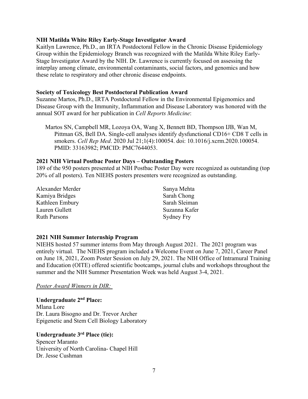## **NIH Matilda White Riley Early-Stage Investigator Award**

Kaitlyn Lawrence, Ph.D., an IRTA Postdoctoral Fellow in the Chronic Disease Epidemiology Group within the Epidemiology Branch was recognized with the Matilda White Riley Early-Stage Investigator Award by the NIH. Dr. Lawrence is currently focused on assessing the interplay among climate, environmental contaminants, social factors, and genomics and how these relate to respiratory and other chronic disease endpoints.

## **Society of Toxicology Best Postdoctoral Publication Award**

Suzanne Martos, Ph.D., IRTA Postdoctoral Fellow in the Environmental Epigenomics and Disease Group with the Immunity, Inflammation and Disease Laboratory was honored with the annual SOT award for her publication in *Cell Reports Medicine*:

Martos SN, Campbell MR, Lozoya OA, Wang X, Bennett BD, Thompson IJB, Wan M, Pittman GS, Bell DA. Single-cell analyses identify dysfunctional CD16+ CD8 T cells in smokers. *Cell Rep Med*. 2020 Jul 21;1(4):100054. doi: 10.1016/j.xcrm.2020.100054. PMID: 33163982; PMCID: PMC7644053.

## **2021 NIH Virtual Postbac Poster Days – Outstanding Posters**

189 of the 950 posters presented at NIH Postbac Poster Day were recognized as outstanding (top 20% of all posters). Ten NIEHS posters presenters were recognized as outstanding.

| Alexander Merder    | Sanya Mehta   |
|---------------------|---------------|
| Kamiya Bridges      | Sarah Chong   |
| Kathleen Embury     | Sarah Sleiman |
| Lauren Gullett      | Suzanna Kafer |
| <b>Ruth Parsons</b> | Sydney Fry    |

## **2021 NIH Summer Internship Program**

NIEHS hosted 57 summer interns from May through August 2021. The 2021 program was entirely virtual. The NIEHS program included a Welcome Event on June 7, 2021, Career Panel on June 18, 2021, Zoom Poster Session on July 29, 2021. The NIH Office of Intramural Training and Education (OITE) offered scientific bootcamps, journal clubs and workshops throughout the summer and the NIH Summer Presentation Week was held August 3-4, 2021.

*Poster Award Winners in DIR:* 

**Undergraduate 2nd Place:**  Mlana Lore Dr. Laura Bisogno and Dr. Trevor Archer Epigenetic and Stem Cell Biology Laboratory

# **Undergraduate 3rd Place (tie):**

Spencer Maranto University of North Carolina- Chapel Hill Dr. Jesse Cushman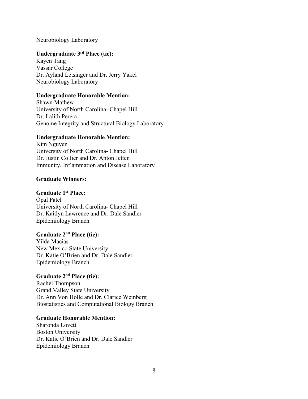Neurobiology Laboratory

# **Undergraduate 3rd Place (tie):**

Kayen Tang Vassar College Dr. Ayland Letsinger and Dr. Jerry Yakel Neurobiology Laboratory

# **Undergraduate Honorable Mention:**

Shawn Mathew University of North Carolina- Chapel Hill Dr. Lalith Perera Genome Integrity and Structural Biology Laboratory

# **Undergraduate Honorable Mention:**

Kim Nguyen University of North Carolina- Chapel Hill Dr. Justin Collier and Dr. Anton Jetten Immunity, Inflammation and Disease Laboratory

# **Graduate Winners:**

# **Graduate 1st Place:**

Opal Patel University of North Carolina- Chapel Hill Dr. Kaitlyn Lawrence and Dr. Dale Sandler Epidemiology Branch

# **Graduate 2nd Place (tie):**

Yilda Macias New Mexico State University Dr. Katie O'Brien and Dr. Dale Sandler Epidemiology Branch

# **Graduate 2nd Place (tie):**

Rachel Thompson Grand Valley State University Dr. Ann Von Holle and Dr. Clarice Weinberg Biostatistics and Computational Biology Branch

# **Graduate Honorable Mention:**

Sharonda Lovett Boston University Dr. Katie O'Brien and Dr. Dale Sandler Epidemiology Branch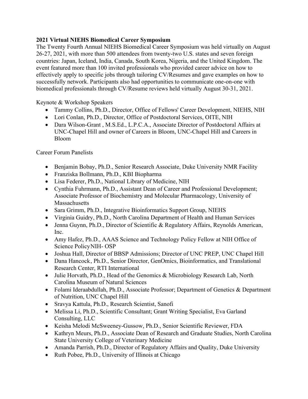# **2021 Virtual NIEHS Biomedical Career Symposium**

The Twenty Fourth Annual NIEHS Biomedical Career Symposium was held virtually on August 26-27, 2021, with more than 500 attendees from twenty-two U.S. states and seven foreign countries: Japan, Iceland, India, Canada, South Korea, Nigeria, and the United Kingdom. The event featured more than 100 invited professionals who provided career advice on how to effectively apply to specific jobs through tailoring CV/Resumes and gave examples on how to successfully network. Participants also had opportunities to communicate one-on-one with biomedical professionals through CV/Resume reviews held virtually August 30-31, 2021.

# Keynote & Workshop Speakers

- Tammy Collins, Ph.D., Director, Office of Fellows' Career Development, NIEHS, NIH
- Lori Conlan, Ph.D., Director, Office of Postdoctoral Services, OITE, NIH
- Dara Wilson-Grant , M.S.Ed., L.P.C.A., Associate Director of Postdoctoral Affairs at UNC-Chapel Hill and owner of Careers in Bloom, UNC-Chapel Hill and Careers in Bloom

Career Forum Panelists

- Benjamin Bobay, Ph.D., Senior Research Associate, Duke University NMR Facility
- Franziska Bollmann, Ph.D., KBI Biopharma
- Lisa Federer, Ph.D., National Library of Medicine, NIH
- Cynthia Fuhrmann, Ph.D., Assistant Dean of Career and Professional Development; Associate Professor of Biochemistry and Molecular Pharmacology, University of **Massachusetts**
- Sara Grimm, Ph.D., Integrative Bioinformatics Support Group, NIEHS
- Virginia Guidry, Ph.D., North Carolina Department of Health and Human Services
- Jenna Guynn, Ph.D., Director of Scientific & Regulatory Affairs, Reynolds American, Inc.
- Amy Hafez, Ph.D., AAAS Science and Technology Policy Fellow at NIH Office of Science Policy NIH- OSP
- Joshua Hall, Director of BBSP Admissions; Director of UNC PREP, UNC Chapel Hill
- Dana Hancock , Ph.D., Senior Director, GenOmics, Bioinformatics, and Translational Research Center, RTI International
- Julie Horvath, Ph.D., Head of the Genomics & Microbiology Research Lab, North Carolina Museum of Natural Sciences
- Folami Ideraabdullah, Ph.D., Associate Professor; Department of Genetics & Department of Nutrition, UNC Chapel Hill
- Sravya Kattula, Ph.D., Research Scientist, Sanofi
- Melissa Li, Ph.D., Scientific Consultant; Grant Writing Specialist, Eva Garland Consulting, LLC
- Keisha Melodi McSweeney-Gussow, Ph.D., Senior Scientific Reviewer, FDA
- Kathryn Meurs, Ph.D., Associate Dean of Research and Graduate Studies, North Carolina State University College of Veterinary Medicine
- Amanda Parrish, Ph.D., Director of Regulatory Affairs and Quality, Duke University
- Ruth Pobee, Ph.D., University of Illinois at Chicago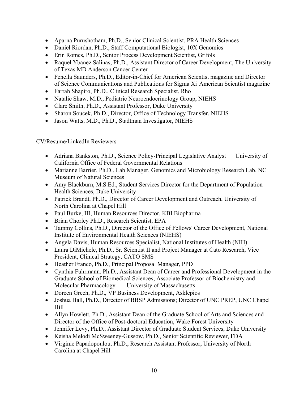- Aparna Purushotham, Ph.D., Senior Clinical Scientist, PRA Health Sciences
- Daniel Riordan, Ph.D., Staff Computational Biologist, 10X Genomics
- Erin Romes, Ph.D., Senior Process Development Scientist, Grifols
- Raquel Ybanez Salinas, Ph.D., Assistant Director of Career Development, The University of Texas MD Anderson Cancer Center
- Fenella Saunders, Ph.D., Editor-in-Chief for American Scientist magazine and Director of Science Communications and Publications for Sigma Xi American Scientist magazine
- Farrah Shapiro, Ph.D., Clinical Research Specialist, Rho
- Natalie Shaw, M.D., Pediatric Neuroendocrinology Group, NIEHS
- Clare Smith, Ph.D., Assistant Professor, Duke University
- Sharon Soucek, Ph.D., Director, Office of Technology Transfer, NIEHS
- Jason Watts, M.D., Ph.D., Stadtman Investigator, NIEHS

CV/Resume/LinkedIn Reviewers

- Adriana Bankston, Ph.D., Science Policy-Principal Legislative Analyst University of California Office of Federal Governmental Relations
- Marianne Barrier, Ph.D., Lab Manager, Genomics and Microbiology Research Lab, NC Museum of Natural Sciences
- Amy Blackburn, M.S.Ed., Student Services Director for the Department of Population Health Sciences, Duke University
- Patrick Brandt, Ph.D., Director of Career Development and Outreach, University of North Carolina at Chapel Hill
- Paul Burke, III, Human Resources Director, KBI Biopharma
- Brian Chorley Ph.D., Research Scientist, EPA
- Tammy Collins, Ph.D., Director of the Office of Fellows' Career Development, National Institute of Environmental Health Sciences (NIEHS)
- Angela Davis, Human Resources Specialist, National Institutes of Health (NIH)
- Laura DiMichele, Ph.D., Sr. Scientist II and Project Manager at Cato Research, Vice President, Clinical Strategy, CATO SMS
- Heather Franco, Ph.D., Principal Proposal Manager, PPD
- Cynthia Fuhrmann, Ph.D., Assistant Dean of Career and Professional Development in the Graduate School of Biomedical Sciences; Associate Professor of Biochemistry and Molecular Pharmacology University of Massachusetts
- Doreen Grech, Ph.D., VP Business Development, Asklepios
- Joshua Hall, Ph.D., Director of BBSP Admissions; Director of UNC PREP, UNC Chapel Hill
- Allyn Howlett, Ph.D., Assistant Dean of the Graduate School of Arts and Sciences and Director of the Office of Post-doctoral Education, Wake Forest University
- Jennifer Levy, Ph.D., Assistant Director of Graduate Student Services, Duke University
- Keisha Melodi McSweeney-Gussow, Ph.D., Senior Scientific Reviewer, FDA
- Virginie Papadopoulou, Ph.D., Research Assistant Professor, University of North Carolina at Chapel Hill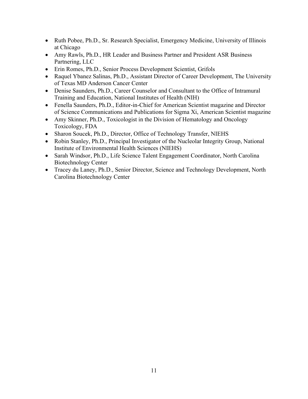- Ruth Pobee, Ph.D., Sr. Research Specialist, Emergency Medicine, University of Illinois at Chicago
- Amy Rawls, Ph.D., HR Leader and Business Partner and President ASR Business Partnering, LLC
- Erin Romes, Ph.D., Senior Process Development Scientist, Grifols
- Raquel Ybanez Salinas, Ph.D., Assistant Director of Career Development, The University of Texas MD Anderson Cancer Center
- Denise Saunders, Ph.D., Career Counselor and Consultant to the Office of Intramural Training and Education, National Institutes of Health (NIH)
- Fenella Saunders, Ph.D., Editor-in-Chief for American Scientist magazine and Director of Science Communications and Publications for Sigma Xi, American Scientist magazine
- Amy Skinner, Ph.D., Toxicologist in the Division of Hematology and Oncology Toxicology, FDA
- Sharon Soucek, Ph.D., Director, Office of Technology Transfer, NIEHS
- Robin Stanley, Ph.D., Principal Investigator of the Nucleolar Integrity Group, National Institute of Environmental Health Sciences (NIEHS)
- Sarah Windsor, Ph.D., Life Science Talent Engagement Coordinator, North Carolina Biotechnology Center
- Tracey du Laney, Ph.D., Senior Director, Science and Technology Development, North Carolina Biotechnology Center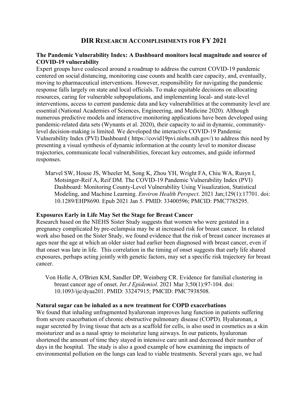# **DIR RESEARCH ACCOMPLISHMENTS FOR FY 2021**

## **The Pandemic Vulnerability Index: A Dashboard monitors local magnitude and source of COVID-19 vulnerability**

Expert groups have coalesced around a roadmap to address the current COVID-19 pandemic centered on social distancing, monitoring case counts and health care capacity, and, eventually, moving to pharmaceutical interventions. However, responsibility for navigating the pandemic response falls largely on state and local officials. To make equitable decisions on allocating resources, caring for vulnerable subpopulations, and implementing local- and state-level interventions, access to current pandemic data and key vulnerabilities at the community level are essential (National Academies of Sciences, Engineering, and Medicine 2020). Although numerous predictive models and interactive monitoring applications have been developed using pandemic-related data sets (Wynants et al. 2020), their capacity to aid in dynamic, communitylevel decision-making is limited. We developed the interactive COVID-19 Pandemic Vulnerability Index (PVI) Dashboard ( [https://covid19pvi.niehs.nih.gov/](https://covid19pvi.niehs.nih.gov)) to address this need by presenting a visual synthesis of dynamic information at the county level to monitor disease trajectories, communicate local vulnerabilities, forecast key outcomes, and guide informed responses.

Marvel SW, House JS, Wheeler M, Song K, Zhou YH, Wright FA, Chiu WA, Rusyn I, Motsinger-Reif A, Reif DM. The COVID-19 Pandemic Vulnerability Index (PVI) Dashboard: Monitoring County-Level Vulnerability Using Visualization, Statistical Modeling, and Machine Learning. *Environ Health Perspect*. 2021 Jan;129(1):17701. doi: 10.1289/EHP8690. Epub 2021 Jan 5. PMID: 33400596; PMCID: PMC7785295.

## **Exposures Early in Life May Set the Stage for Breast Cancer**

Research based on the NIEHS Sister Study suggests that women who were gestated in a pregnancy complicated by pre-eclampsia may be at increased risk for breast cancer. In related work also based on the Sister Study, we found evidence that the risk of breast cancer increases at ages near the age at which an older sister had earlier been diagnosed with breast cancer, even if that onset was late in life. This correlation in the timing of onset suggests that early life shared exposures, perhaps acting jointly with genetic factors, may set a specific risk trajectory for breast cancer.

Von Holle A, O'Brien KM, Sandler DP, Weinberg CR. Evidence for familial clustering in breast cancer age of onset. *Int J Epidemiol*. 2021 Mar 3;50(1):97-104. doi: 10.1093/ije/dyaa201. PMID: 33247915; PMCID: PMC7938508.

## **Natural sugar can be inhaled as a new treatment for COPD exacerbations**

We found that inhaling unfragmented hyaluronan improves lung function in patients suffering from severe exacerbation of chronic obstructive pulmonary disease (COPD). Hyaluronan, a sugar secreted by living tissue that acts as a scaffold for cells, is also used in cosmetics as a skin moisturizer and as a nasal spray to moisturize lung airways. In our patients, hyaluronan shortened the amount of time they stayed in intensive care unit and decreased their number of days in the hospital. The study is also a good example of how examining the impacts of environmental pollution on the lungs can lead to viable treatments. Several years ago, we had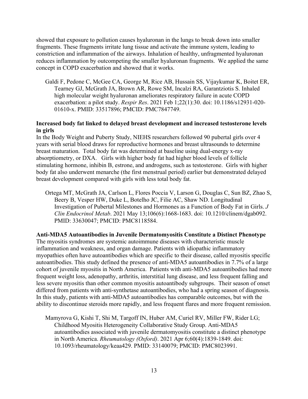concept in COPD exacerbation and showed that it works. showed that exposure to pollution causes hyaluronan in the lungs to break down into smaller fragments. These fragments irritate lung tissue and activate the immune system, leading to constriction and inflammation of the airways. Inhalation of healthy, unfragmented hyaluronan reduces inflammation by outcompeting the smaller hyaluronan fragments. We applied the same

Galdi F, Pedone C, McGee CA, George M, Rice AB, Hussain SS, Vijaykumar K, Boitet ER, Tearney GJ, McGrath JA, Brown AR, Rowe SM, Incalzi RA, Garantziotis S. Inhaled high molecular weight hyaluronan ameliorates respiratory failure in acute COPD exacerbation: a pilot study. *Respir Res*. 2021 Feb 1;22(1):30. doi: 10.1186/s12931-020- 01610-x. PMID: 33517896; PMCID: PMC7847749.

# **Increased body fat linked to delayed breast development and increased testosterone levels in girls**

In the Body Weight and Puberty Study, NIEHS researchers followed 90 pubertal girls over 4 years with serial blood draws for reproductive hormones and breast ultrasounds to determine breast maturation. Total body fat was determined at baseline using dual-energy x-ray absorptiometry, or DXA. Girls with higher body fat had higher blood levels of follicle stimulating hormone, inhibin B, estrone, and androgens, such as testosterone. Girls with higher body fat also underwent menarche (the first menstrual period) earlier but demonstrated delayed breast development compared with girls with less total body fat.

Ortega MT, McGrath JA, Carlson L, Flores Poccia V, Larson G, Douglas C, Sun BZ, Zhao S, Beery B, Vesper HW, Duke L, Botelho JC, Filie AC, Shaw ND. Longitudinal Investigation of Pubertal Milestones and Hormones as a Function of Body Fat in Girls. *J Clin Endocrinol Metab*. 2021 May 13;106(6):1668-1683. doi: 10.1210/clinem/dgab092. PMID: 33630047; PMCID: PMC8118584.

**Anti-MDA5 Autoantibodies in Juvenile Dermatomyositis Constitute a Distinct Phenotype**  The myositis syndromes are systemic autoimmune diseases with characteristic muscle inflammation and weakness, and organ damage. Patients with idiopathic inflammatory myopathies often have autoantibodies which are specific to their disease, called myositis specific autoantibodies. This study defined the presence of anti-MDA5 autoantibodies in 7.7% of a large cohort of juvenile myositis in North America. Patients with anti-MDA5 autoantibodies had more frequent weight loss, adenopathy, arthritis, interstitial lung disease, and less frequent falling and less severe myositis than other common myositis autoantibody subgroups. Their season of onset differed from patients with anti-synthetase autoantibodies, who had a spring season of diagnosis. In this study, patients with anti-MDA5 autoantibodies has comparable outcomes, but with the ability to discontinue steroids more rapidly, and less frequent flares and more frequent remission.

Mamyrova G, Kishi T, Shi M, Targoff IN, Huber AM, Curiel RV, Miller FW, Rider LG; Childhood Myositis Heterogeneity Collaborative Study Group. Anti-MDA5 autoantibodies associated with juvenile dermatomyositis constitute a distinct phenotype in North America. *Rheumatology (Oxford)*. 2021 Apr 6;60(4):1839-1849. doi: 10.1093/rheumatology/keaa429. PMID: 33140079; PMCID: PMC8023991.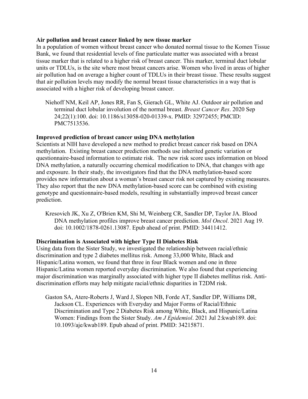## **Air pollution and breast cancer linked by new tissue marker**

In a population of women without breast cancer who donated normal tissue to the Komen Tissue Bank, we found that residential levels of fine particulate matter was associated with a breast tissue marker that is related to a higher risk of breast cancer. This marker, terminal duct lobular units or TDLUs, is the site where most breast cancers arise. Women who lived in areas of higher air pollution had on average a higher count of TDLUs in their breast tissue. These results suggest that air pollution levels may modify the normal breast tissue characteristics in a way that is associated with a higher risk of developing breast cancer.

Niehoff NM, Keil AP, Jones RR, Fan S, Gierach GL, White AJ. Outdoor air pollution and terminal duct lobular involution of the normal breast. *Breast Cancer Res*. 2020 Sep 24;22(1):100. doi: 10.1186/s13058-020-01339-x. PMID: 32972455; PMCID: PMC7513536.

# **Improved prediction of breast cancer using DNA methylation**

Scientists at NIH have developed a new method to predict breast cancer risk based on DNA methylation. Existing breast cancer prediction methods use inherited genetic variation or questionnaire-based information to estimate risk. The new risk score uses information on blood DNA methylation, a naturally occurring chemical modification to DNA, that changes with age and exposure. In their study, the investigators find that the DNA methylation-based score provides new information about a woman's breast cancer risk not captured by existing measures. They also report that the new DNA methylation-based score can be combined with existing genotype and questionnaire-based models, resulting in substantially improved breast cancer prediction.

Kresovich JK, Xu Z, O'Brien KM, Shi M, Weinberg CR, Sandler DP, Taylor JA. Blood DNA methylation profiles improve breast cancer prediction. *Mol Oncol*. 2021 Aug 19. doi: 10.1002/1878-0261.13087. Epub ahead of print. PMID: 34411412.

# **Discrimination is Associated with higher Type II Diabetes Risk**

Using data from the Sister Study, we investigated the relationship between racial/ethnic discrimination and type 2 diabetes mellitus risk. Among 33,000 White, Black and Hispanic/Latina women, we found that three in four Black women and one in three Hispanic/Latina women reported everyday discrimination. We also found that experiencing major discrimination was marginally associated with higher type II diabetes mellitus risk. Antidiscrimination efforts may help mitigate racial/ethnic disparities in T2DM risk.

Gaston SA, Atere-Roberts J, Ward J, Slopen NB, Forde AT, Sandler DP, Williams DR, Jackson CL. Experiences with Everyday and Major Forms of Racial/Ethnic Discrimination and Type 2 Diabetes Risk among White, Black, and Hispanic/Latina Women: Findings from the Sister Study. *Am J Epidemiol*. 2021 Jul 2:kwab189. doi: 10.1093/aje/kwab189. Epub ahead of print. PMID: 34215871.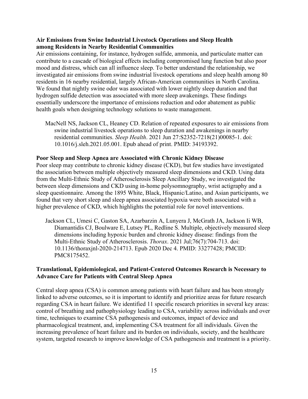# **Air Emissions from Swine Industrial Livestock Operations and Sleep Health among Residents in Nearby Residential Communities**

Air emissions containing, for instance, hydrogen sulfide, ammonia, and particulate matter can contribute to a cascade of biological effects including compromised lung function but also poor mood and distress, which can all influence sleep. To better understand the relationship, we investigated air emissions from swine industrial livestock operations and sleep health among 80 residents in 16 nearby residential, largely African-American communities in North Carolina. We found that nightly swine odor was associated with lower nightly sleep duration and that hydrogen sulfide detection was associated with more sleep awakenings. These findings essentially underscore the importance of emissions reduction and odor abatement as public health goals when designing technology solutions to waste management.

MacNell NS, Jackson CL, Heaney CD. Relation of repeated exposures to air emissions from swine industrial livestock operations to sleep duration and awakenings in nearby residential communities. *Sleep Health*. 2021 Jun 27:S2352-7218(21)00085-1. doi: 10.1016/j.sleh.2021.05.001. Epub ahead of print. PMID: 34193392.

# **Poor Sleep and Sleep Apnea are Associated with Chronic Kidney Disease**

Poor sleep may contribute to chronic kidney disease (CKD), but few studies have investigated the association between multiple objectively measured sleep dimensions and CKD. Using data from the Multi-Ethnic Study of Atherosclerosis Sleep Ancillary Study, we investigated the between sleep dimensions and CKD using in-home polysomnography, wrist actigraphy and a sleep questionnaire. Among the 1895 White, Black, Hispanic/Latino, and Asian participants, we found that very short sleep and sleep apnea associated hypoxia were both associated with a higher prevalence of CKD, which highlights the potential role for novel interventions.

Jackson CL, Umesi C, Gaston SA, Azarbarzin A, Lunyera J, McGrath JA, Jackson Ii WB, Diamantidis CJ, Boulware E, Lutsey PL, Redline S. Multiple, objectively measured sleep dimensions including hypoxic burden and chronic kidney disease: findings from the Multi-Ethnic Study of Atherosclerosis. *Thorax*. 2021 Jul;76(7):704-713. doi: 10.1136/thoraxjnl-2020-214713. Epub 2020 Dec 4. PMID: 33277428; PMCID: PMC8175452.

# **Translational, Epidemiological, and Patient-Centered Outcomes Research is Necessary to Advance Care for Patients with Central Sleep Apnea**

Central sleep apnea (CSA) is common among patients with heart failure and has been strongly linked to adverse outcomes, so it is important to identify and prioritize areas for future research regarding CSA in heart failure. We identified 11 specific research priorities in several key areas: control of breathing and pathophysiology leading to CSA, variability across individuals and over time, techniques to examine CSA pathogenesis and outcomes, impact of device and pharmacological treatment, and, implementing CSA treatment for all individuals. Given the increasing prevalence of heart failure and its burden on individuals, society, and the healthcare system, targeted research to improve knowledge of CSA pathogenesis and treatment is a priority.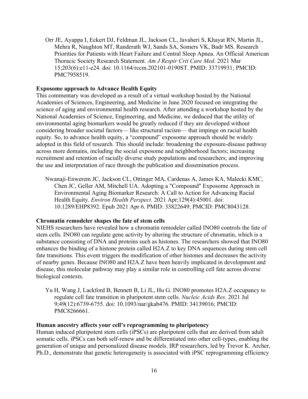Orr JE, Ayappa I, Eckert DJ, Feldman JL, Jackson CL, Javaheri S, Khayat RN, Martin JL, Mehra R, Naughton MT, Randerath WJ, Sands SA, Somers VK, Badr MS. Research Priorities for Patients with Heart Failure and Central Sleep Apnea. An Official American Thoracic Society Research Statement. *Am J Respir Crit Care Med*. 2021 Mar 15;203(6):e11-e24. doi: 10.1164/rccm.202101-0190ST. PMID: 33719931; PMCID: PMC7958519.

## **Exposome approach to Advance Health Equity**

This commentary was developed as a result of a virtual workshop hosted by the National Academies of Sciences, Engineering, and Medicine in June 2020 focused on integrating the science of aging and environmental health research. After attending a workshop hosted by the National Academies of Science, Engineering, and Medicine, we deduced that the utility of environmental aging biomarkers would be greatly reduced if they are developed without considering broader societal factors— like structural racism— that impinge on racial health equity. So, to advance health equity, a "compound" exposome approach should be widely adopted in this field of research. This should include: broadening the exposure-disease pathway across more domains, including the social exposome and neighborhood factors; increasing recruitment and retention of racially diverse study populations and researchers; and improving the use and interpretation of race through the publication and dissemination process.

Nwanaji-Enwerem JC, Jackson CL, Ottinger MA, Cardenas A, James KA, Malecki KMC, Chen JC, Geller AM, Mitchell UA. Adopting a "Compound" Exposome Approach in Environmental Aging Biomarker Research: A Call to Action for Advancing Racial Health Equity. *Environ Health Perspect*. 2021 Apr;129(4):45001. doi: 10.1289/EHP8392. Epub 2021 Apr 6. PMID: 33822649; PMCID: PMC8043128.

#### **Chromatin remodeler shapes the fate of stem cells**

NIEHS researchers have revealed how a chromatin remodeler called INO80 controls the fate of stem cells. INO80 can regulate gene activity by altering the structure of chromatin, which is a substance consisting of DNA and proteins such as histones. The researchers showed that INO80 enhances the binding of a histone protein called H2A.Z to key DNA sequences during stem cell fate transitions. This event triggers the modification of other histones and decreases the activity of nearby genes. Because INO80 and H2A.Z have been heavily implicated in development and disease, this molecular pathway may play a similar role in controlling cell fate across diverse biological contexts.

Yu H, Wang J, Lackford B, Bennett B, Li JL, Hu G. INO80 promotes H2A.Z occupancy to regulate cell fate transition in pluripotent stem cells. *Nucleic Acids Res*. 2021 Jul 9;49(12):6739-6755. doi: 10.1093/nar/gkab476. PMID: 34139016; PMCID: PMC8266661.

#### **Human ancestry affects your cell's reprogramming to pluripotency**

Human induced pluripotent stem cells (iPSCs) are pluripotent cells that are derived from adult somatic cells. iPSCs can both self-renew and be differentiated into other cell-types, enabling the generation of unique and personalized disease models. IRP researchers, led by Trevor K. Archer, Ph.D., demonstrate that genetic heterogeneity is associated with iPSC reprogramming efficiency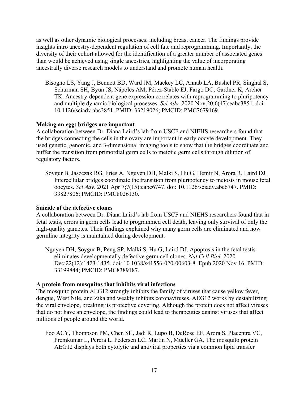as well as other dynamic biological processes, including breast cancer. The findings provide insights intro ancestry-dependent regulation of cell fate and reprogramming. Importantly, the diversity of their cohort allowed for the identification of a greater number of associated genes than would be achieved using single ancestries, highlighting the value of incorporating ancestrally diverse research models to understand and promote human health.

Bisogno LS, Yang J, Bennett BD, Ward JM, Mackey LC, Annab LA, Bushel PR, Singhal S, Schurman SH, Byun JS, Nápoles AM, Pérez-Stable EJ, Fargo DC, Gardner K, Archer TK. Ancestry-dependent gene expression correlates with reprogramming to pluripotency and multiple dynamic biological processes. *Sci Adv*. 2020 Nov 20;6(47):eabc3851. doi: 10.1126/sciadv.abc3851. PMID: 33219026; PMCID: PMC7679169.

## **Making an egg: bridges are important**

A collaboration between Dr. Diana Laird's lab from USCF and NIEHS researchers found that the bridges connecting the cells in the ovary are important in early oocyte development. They used genetic, genomic, and 3-dimensional imaging tools to show that the bridges coordinate and buffer the transition from primordial germ cells to meiotic germ cells through dilution of regulatory factors.

Soygur B, Jaszczak RG, Fries A, Nguyen DH, Malki S, Hu G, Demir N, Arora R, Laird DJ. Intercellular bridges coordinate the transition from pluripotency to meiosis in mouse fetal oocytes. *Sci Adv*. 2021 Apr 7;7(15):eabc6747. doi: 10.1126/sciadv.abc6747. PMID: 33827806; PMCID: PMC8026130.

#### **Suicide of the defective clones**

A collaboration between Dr. Diana Laird's lab from USCF and NIEHS researchers found that in fetal testis, errors in germ cells lead to programmed cell death, leaving only survival of only the high-quality gametes. Their findings explained why many germ cells are eliminated and how germline integrity is maintained during development.

Nguyen DH, Soygur B, Peng SP, Malki S, Hu G, Laird DJ. Apoptosis in the fetal testis eliminates developmentally defective germ cell clones. *Nat Cell Biol*. 2020 Dec;22(12):1423-1435. doi: 10.1038/s41556-020-00603-8. Epub 2020 Nov 16. PMID: 33199844; PMCID: PMC8389187.

## **A protein from mosquitos that inhibits viral infections**

The mosquito protein AEG12 strongly inhibits the family of viruses that cause yellow fever, dengue, West Nile, and Zika and weakly inhibits coronaviruses. AEG12 works by destabilizing the viral envelope, breaking its protective covering. Although the protein does not affect viruses that do not have an envelope, the findings could lead to therapeutics against viruses that affect millions of people around the world.

Foo ACY, Thompson PM, Chen SH, Jadi R, Lupo B, DeRose EF, Arora S, Placentra VC, Premkumar L, Perera L, Pedersen LC, Martin N, Mueller GA. The mosquito protein AEG12 displays both cytolytic and antiviral properties via a common lipid transfer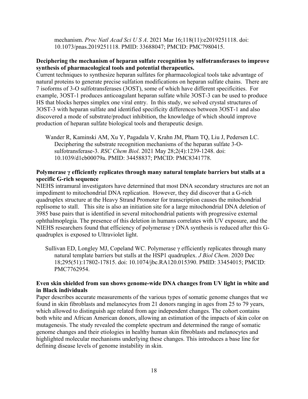mechanism. *Proc Natl Acad Sci U S A*. 2021 Mar 16;118(11):e2019251118. doi: 10.1073/pnas.2019251118. PMID: 33688047; PMCID: PMC7980415.

# **synthesis of pharmacological tools and potential therapeutics. Deciphering the mechanism of heparan sulfate recognition by sulfotransferases to improve**

Current techniques to synthesize heparan sulfates for pharmacological tools take advantage of natural proteins to generate precise sulfation modifications on heparan sulfate chains. There are 7 isoforms of 3-O sulfotransferases (3OST), some of which have different specificities. For example, 3OST-1 produces anticoagulant heparan sulfate while 3OST-3 can be used to produce HS that blocks herpes simplex one viral entry. In this study, we solved crystal structures of 3OST-3 with heparan sulfate and identified specificity differences between 3OST-1 and also discovered a mode of substrate/product inhibition, the knowledge of which should improve production of heparan sulfate biological tools and therapeutic design.

Wander R, Kaminski AM, Xu Y, Pagadala V, Krahn JM, Pham TQ, Liu J, Pedersen LC. Deciphering the substrate recognition mechanisms of the heparan sulfate 3-Osulfotransferase-3. *RSC Chem Biol*. 2021 May 28;2(4):1239-1248. doi: 10.1039/d1cb00079a. PMID: 34458837; PMCID: PMC8341778.

## **Polymerase γ efficiently replicates through many natural template barriers but stalls at a specific G-rich sequence**

NIEHS intramural investigators have determined that most DNA secondary structures are not an impediment to mitochondrial DNA replication. However, they did discover that a G-rich quadruplex structure at the Heavy Strand Promoter for transcription causes the mitochondrial replisome to stall. This site is also an initiation site for a large mitochondrial DNA deletion of 3985 base pairs that is identified in several mitochondrial patients with progressive external ophthalmoplegia. The presence of this deletion in humans correlates with UV exposure, and the NIEHS researchers found that efficiency of polymerase  $\gamma$  DNA synthesis is reduced after this Gquadruplex is exposed to Ultraviolet light.

Sullivan ED, Longley MJ, Copeland WC. Polymerase γ efficiently replicates through many natural template barriers but stalls at the HSP1 quadruplex. *J Biol Chem*. 2020 Dec 18;295(51):17802-17815. doi: 10.1074/jbc.RA120.015390. PMID: 33454015; PMCID: PMC7762954.

## **Even skin shielded from sun shows genome-wide DNA changes from UV light in white and in Black individuals**

Paper describes accurate measurements of the various types of somatic genome changes that we found in skin fibroblasts and melanocytes from 21 donors ranging in ages from 25 to 79 years, which allowed to distinguish age related from age independent changes. The cohort contains both white and African American donors, allowing an estimation of the impacts of skin color on mutagenesis. The study revealed the complete spectrum and determined the range of somatic genome changes and their etiologies in healthy human skin fibroblasts and melanocytes and highlighted molecular mechanisms underlying these changes. This introduces a base line for defining disease levels of genome instability in skin.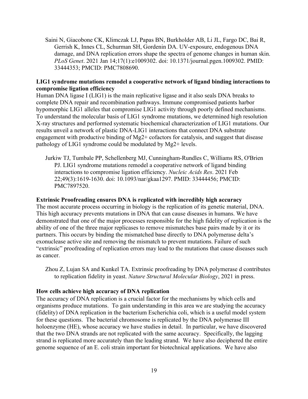Saini N, Giacobone CK, Klimczak LJ, Papas BN, Burkholder AB, Li JL, Fargo DC, Bai R, Gerrish K, Innes CL, Schurman SH, Gordenin DA. UV-exposure, endogenous DNA damage, and DNA replication errors shape the spectra of genome changes in human skin. *PLoS Genet*. 2021 Jan 14;17(1):e1009302. doi: 10.1371/journal.pgen.1009302. PMID: 33444353; PMCID: PMC7808690.

# **LIG1 syndrome mutations remodel a cooperative network of ligand binding interactions to compromise ligation efficiency**

Human DNA ligase I (LIG1) is the main replicative ligase and it also seals DNA breaks to complete DNA repair and recombination pathways. Immune compromised patients harbor hypomorphic LIG1 alleles that compromise LIG1 activity through poorly defined mechanisms. To understand the molecular basis of LIG1 syndrome mutations, we determined high resolution X-ray structures and performed systematic biochemical characterization of LIG1 mutations. Our results unveil a network of plastic DNA-LIG1 interactions that connect DNA substrate engagement with productive binding of Mg2+ cofactors for catalysis, and suggest that disease pathology of LIG1 syndrome could be modulated by Mg2+ levels.

Jurkiw TJ, Tumbale PP, Schellenberg MJ, Cunningham-Rundles C, Williams RS, O'Brien PJ. LIG1 syndrome mutations remodel a cooperative network of ligand binding interactions to compromise ligation efficiency. *Nucleic Acids Res*. 2021 Feb 22;49(3):1619-1630. doi: 10.1093/nar/gkaa1297. PMID: 33444456; PMCID: PMC7897520.

## **Extrinsic Proofreading ensures DNA is replicated with incredibly high accuracy**

The most accurate process occurring in biology is the replication of its genetic material, DNA. This high accuracy prevents mutations in DNA that can cause diseases in humans. We have demonstrated that one of the major processes responsible for the high fidelity of replication is the ability of one of the three major replicases to remove mismatches base pairs made by it or its partners. This occurs by binding the mismatched base directly to DNA polymerase delta's exonuclease active site and removing the mismatch to prevent mutations. Failure of such "extrinsic" proofreading of replication errors may lead to the mutations that cause diseases such as cancer.

Zhou Z, Lujan SA and Kunkel TA. Extrinsic proofreading by DNA polymerase d contributes to replication fidelity in yeast. *Nature Structural Molecular Biology*, 2021 in press.

## **How cells achieve high accuracy of DNA replication**

The accuracy of DNA replication is a crucial factor for the mechanisms by which cells and organisms produce mutations. To gain understanding in this area we are studying the accuracy (fidelity) of DNA replication in the bacterium Escherichia coli, which is a useful model system for these questions. The bacterial chromosome is replicated by the DNA polymerase III holoenzyme (HE), whose accuracy we have studies in detail. In particular, we have discovered that the two DNA strands are not replicated with the same accuracy. Specifically, the lagging strand is replicated more accurately than the leading strand. We have also deciphered the entire genome sequence of an E. coli strain important for biotechnical applications. We have also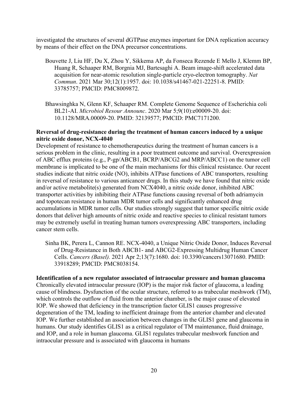investigated the structures of several dGTPase enzymes important for DNA replication accuracy by means of their effect on the DNA precursor concentrations.

- Bouvette J, Liu HF, Du X, Zhou Y, Sikkema AP, da Fonseca Rezende E Mello J, Klemm BP, Huang R, Schaaper RM, Borgnia MJ, Bartesaghi A. Beam image-shift accelerated data acquisition for near-atomic resolution single-particle cryo-electron tomography. *Nat Commun*. 2021 Mar 30;12(1):1957. doi: 10.1038/s41467-021-22251-8. PMID: 33785757; PMCID: PMC8009872.
- Bhawsinghka N, Glenn KF, Schaaper RM. Complete Genome Sequence of Escherichia coli BL21-AI. *Microbiol Resour Announc*. 2020 Mar 5;9(10):e00009-20. doi: 10.1128/MRA.00009-20. PMID: 32139577; PMCID: PMC7171200.

# **Reversal of drug-resistance during the treatment of human cancers induced by a unique nitric oxide donor, NCX-4040**

Development of resistance to chemotherapeutics during the treatment of human cancers is a serious problem in the clinic, resulting in a poor treatment outcome and survival. Overexpression of ABC efflux proteins (e.g., P-gp/ABCB1, BCRP/ABCG2 and MRP/ABCC1) on the tumor cell membrane is implicated to be one of the main mechanisms for this clinical resistance. Our recent studies indicate that nitric oxide (NO), inhibits ATPase functions of ABC transporters, resulting in reversal of resistance to various anticancer drugs. In this study we have found that nitric oxide and/or active metabolite(s) generated from NCX4040, a nitric oxide donor, inhibited ABC transporter activities by inhibiting their ATPase functions causing reversal of both adriamycin and topotecan resistance in human MDR tumor cells and significantly enhanced drug accumulations in MDR tumor cells. Our studies strongly suggest that tumor specific nitric oxide donors that deliver high amounts of nitric oxide and reactive species to clinical resistant tumors may be extremely useful in treating human tumors overexpressing ABC transporters, including cancer stem cells.

Sinha BK, Perera L, Cannon RE. NCX-4040, a Unique Nitric Oxide Donor, Induces Reversal of Drug-Resistance in Both ABCB1- and ABCG2-Expressing Multidrug Human Cancer Cells. *Cancers (Basel).* 2021 Apr 2;13(7):1680. doi: 10.3390/cancers13071680. PMID: 33918289; PMCID: PMC8038154.

# **Identification of a new regulator associated of intraocular pressure and human glaucoma**

Chronically elevated intraocular pressure (IOP) is the major risk factor of glaucoma, a leading cause of blindness. Dysfunction of the ocular structure, referred to as trabecular meshwork (TM), which controls the outflow of fluid from the anterior chamber, is the major cause of elevated IOP. We showed that deficiency in the transcription factor GLIS1 causes progressive degeneration of the TM, leading to inefficient drainage from the anterior chamber and elevated IOP. We further established an association between changes in the GLIS1 gene and glaucoma in humans. Our study identifies GLIS1 as a critical regulator of TM maintenance, fluid drainage, and IOP, and a role in human glaucoma. GLIS1 regulates trabecular meshwork function and intraocular pressure and is associated with glaucoma in humans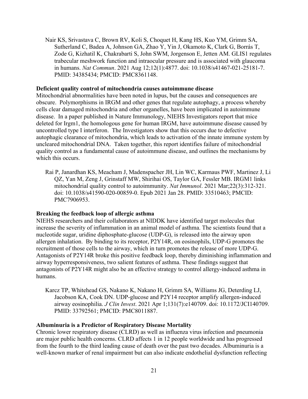Nair KS, Srivastava C, Brown RV, Koli S, Choquet H, Kang HS, Kuo YM, Grimm SA, Sutherland C, Badea A, Johnson GA, Zhao Y, Yin J, Okamoto K, Clark G, Borrás T, Zode G, Kizhatil K, Chakrabarti S, John SWM, Jorgenson E, Jetten AM. GLIS1 regulates trabecular meshwork function and intraocular pressure and is associated with glaucoma in humans. *Nat Commun*. 2021 Aug 12;12(1):4877. doi: 10.1038/s41467-021-25181-7. PMID: 34385434; PMCID: PMC8361148.

#### **Deficient quality control of mitochondria causes autoimmune disease**

which this occurs. Mitochondrial abnormalities have been noted in lupus, but the causes and consequences are obscure. Polymorphisms in IRGM and other genes that regulate autophagy, a process whereby cells clear damaged mitochondria and other organelles, have been implicated in autoimmune disease. In a paper published in Nature Immunology, NIEHS Investigators report that mice deleted for Irgm1, the homologous gene for human IRGM, have autoimmune disease caused by uncontrolled type I interferon. The Investigators show that this occurs due to defective autophagic clearance of mitochondria, which leads to activation of the innate immune system by uncleared mitochondrial DNA. Taken together, this report identifies failure of mitochondrial quality control as a fundamental cause of autoimmune disease, and outlines the mechanisms by

Rai P, Janardhan KS, Meacham J, Madenspacher JH, Lin WC, Karmaus PWF, Martinez J, Li QZ, Yan M, Zeng J, Grinstaff MW, Shirihai OS, Taylor GA, Fessler MB. IRGM1 links mitochondrial quality control to autoimmunity. *Nat Immunol*. 2021 Mar;22(3):312-321. doi: 10.1038/s41590-020-00859-0. Epub 2021 Jan 28. PMID: 33510463; PMCID: PMC7906953.

#### **Breaking the feedback loop of allergic asthma**

NIEHS researchers and their collaborators at NIDDK have identified target molecules that increase the severity of inflammation in an animal model of asthma. The scientists found that a nucleotide sugar, uridine diphosphate-glucose (UDP-G), is released into the airway upon allergen inhalation. By binding to its receptor, P2Y14R, on eosinophils, UDP-G promotes the recruitment of those cells to the airway, which in turn promotes the release of more UDP-G. Antagonists of P2Y14R broke this positive feedback loop, thereby diminishing inflammation and airway hyperresponsiveness, two salient features of asthma. These findings suggest that antagonists of P2Y14R might also be an effective strategy to control allergy-induced asthma in humans.

Karcz TP, Whitehead GS, Nakano K, Nakano H, Grimm SA, Williams JG, Deterding LJ, Jacobson KA, Cook DN. UDP-glucose and P2Y14 receptor amplify allergen-induced airway eosinophilia. *J Clin Invest*. 2021 Apr 1;131(7):e140709. doi: 10.1172/JCI140709. PMID: 33792561; PMCID: PMC8011887.

#### **Albuminuria is a Predictor of Respiratory Disease Mortality**

Chronic lower respiratory disease (CLRD) as well as influenza virus infection and pneumonia are major public health concerns. CLRD affects 1 in 12 people worldwide and has progressed from the fourth to the third leading cause of death over the past two decades. Albuminuria is a well-known marker of renal impairment but can also indicate endothelial dysfunction reflecting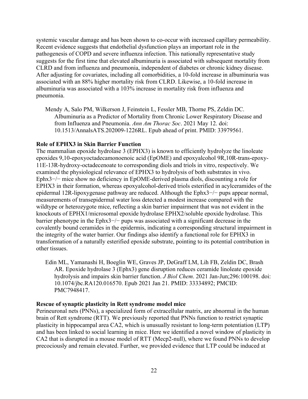systemic vascular damage and has been shown to co-occur with increased capillary permeability. Recent evidence suggests that endothelial dysfunction plays an important role in the pathogenesis of COPD and severe influenza infection. This nationally representative study suggests for the first time that elevated albuminuria is associated with subsequent mortality from CLRD and from influenza and pneumonia, independent of diabetes or chronic kidney disease. After adjusting for covariates, including all comorbidities, a 10-fold increase in albuminuria was associated with an 88% higher mortality risk from CLRD. Likewise, a 10-fold increase in albuminuria was associated with a 103% increase in mortality risk from influenza and pneumonia.

Mendy A, Salo PM, Wilkerson J, Feinstein L, Fessler MB, Thorne PS, Zeldin DC. Albuminuria as a Predictor of Mortality from Chronic Lower Respiratory Disease and from Influenza and Pneumonia. *Ann Am Thorac Soc*. 2021 May 12. doi: 10.1513/AnnalsATS.202009-1226RL. Epub ahead of print. PMID: 33979561.

## **Role of EPHX3 in Skin Barrier Function**

The mammalian epoxide hydrolase 3 (EPHX3) is known to efficiently hydrolyze the linoleate epoxides 9,10-epoxyoctadecamonoenoic acid (EpOME) and epoxyalcohol 9R,10R-trans-epoxy-11E-13R-hydroxy-octadecenoate to corresponding diols and triols in vitro, respectively. We examined the physiological relevance of EPHX3 to hydrolysis of both substrates in vivo. Ephx3−/− mice show no deficiency in EpOME-derived plasma diols, discounting a role for EPHX3 in their formation, whereas epoxyalcohol-derived triols esterified in acylceramides of the epidermal 12R-lipoxygenase pathway are reduced. Although the Ephx3−/− pups appear normal, measurements of transepidermal water loss detected a modest increase compared with the wildtype or heterozygote mice, reflecting a skin barrier impairment that was not evident in the knockouts of EPHX1/microsomal epoxide hydrolase EPHX2/soluble epoxide hydrolase. This barrier phenotype in the Ephx3−/− pups was associated with a significant decrease in the covalently bound ceramides in the epidermis, indicating a corresponding structural impairment in the integrity of the water barrier. Our findings also identify a functional role for EPHX3 in transformation of a naturally esterified epoxide substrate, pointing to its potential contribution in other tissues.

Edin ML, Yamanashi H, Boeglin WE, Graves JP, DeGraff LM, Lih FB, Zeldin DC, Brash AR. Epoxide hydrolase 3 (Ephx3) gene disruption reduces ceramide linoleate epoxide hydrolysis and impairs skin barrier function. *J Biol Chem*. 2021 Jan-Jun;296:100198. doi: 10.1074/jbc.RA120.016570. Epub 2021 Jan 21. PMID: 33334892; PMCID: PMC7948417.

## **Rescue of synaptic plasticity in Rett syndrome model mice**

Perineuronal nets (PNNs), a specialized form of extracellular matrix, are abnormal in the human brain of Rett syndrome (RTT). We previously reported that PNNs function to restrict synaptic plasticity in hippocampal area CA2, which is unusually resistant to long-term potentiation (LTP) and has been linked to social learning in mice. Here we identified a novel window of plasticity in CA2 that is disrupted in a mouse model of RTT (Mecp2-null), where we found PNNs to develop precociously and remain elevated. Further, we provided evidence that LTP could be induced at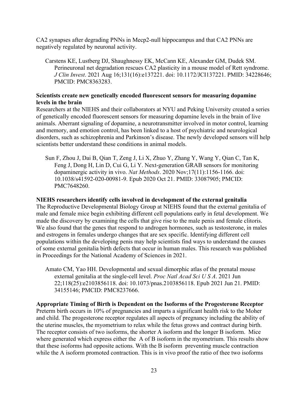CA2 synapses after degrading PNNs in Mecp2-null hippocampus and that CA2 PNNs are negatively regulated by neuronal activity.

Carstens KE, Lustberg DJ, Shaughnessy EK, McCann KE, Alexander GM, Dudek SM. Perineuronal net degradation rescues CA2 plasticity in a mouse model of Rett syndrome. *J Clin Invest*. 2021 Aug 16;131(16):e137221. doi: 10.1172/JCI137221. PMID: 34228646; PMCID: PMC8363283.

# **Scientists create new genetically encoded fluorescent sensors for measuring dopamine levels in the brain**

Researchers at the NIEHS and their collaborators at NYU and Peking University created a series of genetically encoded fluorescent sensors for measuring dopamine levels in the brain of live animals. Aberrant signaling of dopamine, a neurotransmitter involved in motor control, learning and memory, and emotion control, has been linked to a host of psychiatric and neurological disorders, such as schizophrenia and Parkinson's disease. The newly developed sensors will help scientists better understand these conditions in animal models.

Sun F, Zhou J, Dai B, Qian T, Zeng J, Li X, Zhuo Y, Zhang Y, Wang Y, Qian C, Tan K, Feng J, Dong H, Lin D, Cui G, Li Y. Next-generation GRAB sensors for monitoring dopaminergic activity in vivo. *Nat Methods*. 2020 Nov;17(11):1156-1166. doi: 10.1038/s41592-020-00981-9. Epub 2020 Oct 21. PMID: 33087905; PMCID: PMC7648260.

# **NIEHS researchers identify cells involved in development of the external genitalia**

The Reproductive Developmental Biology Group at NIEHS found that the external genitalia of male and female mice begin exhibiting different cell populations early in fetal development. We made the discovery by examining the cells that give rise to the male penis and female clitoris. We also found that the genes that respond to androgen hormones, such as testosterone, in males and estrogens in females undergo changes that are sex specific. Identifying different cell populations within the developing penis may help scientists find ways to understand the causes of some external genitalia birth defects that occur in human males. This research was published in Proceedings for the National Academy of Sciences in 2021.

Amato CM, Yao HH. Developmental and sexual dimorphic atlas of the prenatal mouse external genitalia at the single-cell level. *Proc Natl Acad Sci U S A*. 2021 Jun 22;118(25):e2103856118. doi: 10.1073/pnas.2103856118. Epub 2021 Jun 21. PMID: 34155146; PMCID: PMC8237666.

**Appropriate Timing of Birth is Dependent on the Isoforms of the Progesterone Receptor**  Preterm birth occurs in 10% of pregnancies and imparts a significant health risk to the Moher and child. The progesterone receptor regulates all aspects of pregnancy including the ability of the uterine muscles, the myometrium to relax while the fetus grows and contract during birth. The receptor consists of two isoforms, the shorter A isoform and the longer B isoform. Mice where generated which express either the A of B isoform in the myometrium. This results show that these isoforms had opposite actions. With the B isoform preventing muscle contraction while the A isoform promoted contraction. This is in vivo proof the ratio of thee two isoforms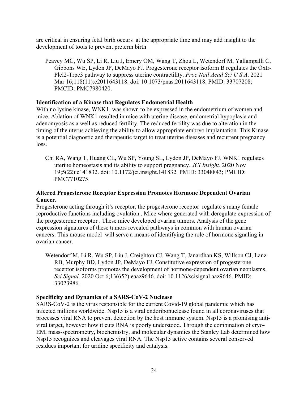development of tools to prevent preterm birth are critical in ensuring fetal birth occurs at the appropriate time and may add insight to the

Peavey MC, Wu SP, Li R, Liu J, Emery OM, Wang T, Zhou L, Wetendorf M, Yallampalli C, Gibbons WE, Lydon JP, DeMayo FJ. Progesterone receptor isoform B regulates the Oxtr-Plcl2-Trpc3 pathway to suppress uterine contractility. *Proc Natl Acad Sci U S A*. 2021 Mar 16;118(11):e2011643118. doi: 10.1073/pnas.2011643118. PMID: 33707208; PMCID: PMC7980420.

# **Identification of a Kinase that Regulates Endometrial Health**

With no lysine kinase, WNK1, was shown to be expressed in the endometrium of women and mice. Ablation of WNK1 resulted in mice with uterine disease, endometrial hypoplasia and adenomyosis as a well as reduced fertility. The reduced fertility was due to alteration in the timing of the uterus achieving the ability to allow appropriate embryo implantation. This Kinase is a potential diagnostic and therapeutic target to treat uterine diseases and recurrent pregnancy loss.

Chi RA, Wang T, Huang CL, Wu SP, Young SL, Lydon JP, DeMayo FJ. WNK1 regulates uterine homeostasis and its ability to support pregnancy*. JCI Insight*. 2020 Nov 19;5(22):e141832. doi: 10.1172/jci.insight.141832. PMID: 33048843; PMCID: PMC7710275.

# **Altered Progesterone Receptor Expression Promotes Hormone Dependent Ovarian Cancer.**

ovarian cancer. Progesterone acting through it's receptor, the progesterone receptor regulate s many female reproductive functions including ovulation . Mice where generated with deregulate expression of the progesterone receptor . These mice developed ovarian tumors. Analysis of the gene expression signatures of these tumors revealed pathways in common with human ovarian cancers. This mouse model will serve a means of identifying the role of hormone signaling in

Wetendorf M, Li R, Wu SP, Liu J, Creighton CJ, Wang T, Janardhan KS, Willson CJ, Lanz RB, Murphy BD, Lydon JP, DeMayo FJ. Constitutive expression of progesterone receptor isoforms promotes the development of hormone-dependent ovarian neoplasms. *Sci Signal*. 2020 Oct 6;13(652):eaaz9646. doi: 10.1126/scisignal.aaz9646. PMID: 33023986.

# **Specificity and Dynamics of a SARS-CoV-2 Nuclease**

SARS-CoV-2 is the virus responsible for the current Covid-19 global pandemic which has infected millions worldwide. Nsp15 is a viral endoribonuclease found in all coronaviruses that processes viral RNA to prevent detection by the host immune system. Nsp15 is a promising antiviral target, however how it cuts RNA is poorly understood. Through the combination of cryo-EM, mass-spectrometry, biochemistry, and molecular dynamics the Stanley Lab determined how Nsp15 recognizes and cleavages viral RNA. The Nsp15 active contains several conserved residues important for uridine specificity and catalysis.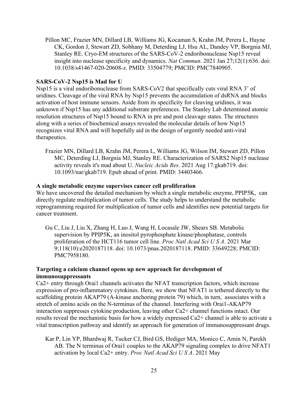Pillon MC, Frazier MN, Dillard LB, Williams JG, Kocaman S, Krahn JM, Perera L, Hayne CK, Gordon J, Stewart ZD, Sobhany M, Deterding LJ, Hsu AL, Dandey VP, Borgnia MJ, Stanley RE. Cryo-EM structures of the SARS-CoV-2 endoribonuclease Nsp15 reveal insight into nuclease specificity and dynamics. *Nat Commun*. 2021 Jan 27;12(1):636. doi: 10.1038/s41467-020-20608-z. PMID: 33504779; PMCID: PMC7840905.

## **SARS-CoV-2 Nsp15 is Mad for U**

therapeutics. Nsp15 is a viral endoribonuclease from SARS-CoV2 that specifically cuts viral RNA 3' of uridines. Cleavage of the viral RNA by Nsp15 prevents the accumulation of dsRNA and blocks activation of host immune sensors. Aside from its specificity for cleaving uridines, it was unknown if Nsp15 has any additional substrate preferences. The Stanley Lab determined atomic resolution structures of Nsp15 bound to RNA in pre and post cleavage states. The structures along with a series of biochemical assays revealed the molecular details of how Nsp15 recognizes viral RNA and will hopefully aid in the design of urgently needed anti-viral

Frazier MN, Dillard LB, Krahn JM, Perera L, Williams JG, Wilson IM, Stewart ZD, Pillon MC, Deterding LJ, Borgnia MJ, Stanley RE. Characterization of SARS2 Nsp15 nuclease activity reveals it's mad about U. *Nucleic Acids Res*. 2021 Aug 17:gkab719. doi: 10.1093/nar/gkab719. Epub ahead of print. PMID: 34403466.

## **A single metabolic enzyme supervises cancer cell proliferation**

cancer treatment. We have uncovered the detailed mechanism by which a single metabolic enzyme, PPIP5K, can directly regulate multiplication of tumor cells. The study helps to understand the metabolic reprogramming required for multiplication of tumor cells and identifies new potential targets for

Gu C, Liu J, Liu X, Zhang H, Luo J, Wang H, Locasale JW, Shears SB. Metabolic supervision by PPIP5K, an inositol pyrophosphate kinase/phosphatase, controls proliferation of the HCT116 tumor cell line. *Proc Natl Acad Sci U S A*. 2021 Mar 9;118(10):e2020187118. doi: 10.1073/pnas.2020187118. PMID: 33649228; PMCID: PMC7958180.

## **Targeting a calcium channel opens up new approach for development of immunosuppressants**

Ca2+ entry through Orai1 channels activates the NFAT transcription factors, which increase expression of pro-inflammatory cytokines. Here, we show that NFAT1 is tethered directly to the scaffolding protein AKAP79 (A-kinase anchoring protein 79) which, in turn, associates with a stretch of amino acids on the N-terminus of the channel. Interfering with Orai1-AKAP79 interaction suppresses cytokine production, leaving other Ca2+ channel functions intact. Our results reveal the mechanistic basis for how a widely expressed Ca2+ channel is able to activate a vital transcription pathway and identify an approach for generation of immunosuppressant drugs.

Kar P, Lin YP, Bhardwaj R, Tucker CJ, Bird GS, Hediger MA, Monico C, Amin N, Parekh AB. The N terminus of Orai1 couples to the AKAP79 signaling complex to drive NFAT1 activation by local Ca2+ entry. *Proc Natl Acad Sci U S A*. 2021 May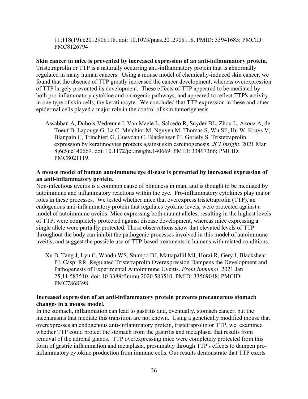11;118(19):e2012908118. doi: 10.1073/pnas.2012908118. PMID: 33941685; PMCID: PMC8126794.

epidermal cells played a major role in the control of skin tumorigenesis. **Skin cancer in mice is prevented by increased expression of an anti-inflammatory protein.**  Tristetraprolin or TTP is a naturally occurring anti-inflammatory protein that is abnormally regulated in many human cancers. Using a mouse model of chemically-induced skin cancer, we found that the absence of TTP greatly increased the cancer development, whereas overexpression of TTP largely prevented its development. These effects of TTP appeared to be mediated by both pro-inflammatory cytokine and oncogenic pathways, and appeared to reflect TTP's activity in one type of skin cells, the keratinocyte. We concluded that TTP expression in these and other

Assabban A, Dubois-Vedrenne I, Van Maele L, Salcedo R, Snyder BL, Zhou L, Azouz A, de Toeuf B, Lapouge G, La C, Melchior M, Nguyen M, Thomas S, Wu SF, Hu W, Kruys V, Blanpain C, Trinchieri G, Gueydan C, Blackshear PJ, Goriely S. Tristetraprolin expression by keratinocytes protects against skin carcinogenesis. *JCI Insight*. 2021 Mar 8;6(5):e140669. doi: 10.1172/jci.insight.140669. PMID: 33497366; PMCID: PMC8021119.

## **an anti-inflammatory protein. A mouse model of human autoimmune eye disease is prevented by increased expression of**

Non-infectious uveitis is a common cause of blindness in man, and is thought to be mediated by autoimmune and inflammatory reactions within the eye. Pro-inflammatory cytokines play major roles in these processes. We tested whether mice that overexpress tristetraprolin (TTP), an endogenous anti-inflammatory protein that regulates cyokine levels, were protected against a model of autoimmune uveitis. Mice expressing both mutant alleles, resulting in the highest levels of TTP, were completely protected against disease development, whereas mice expressing a single allele were partially protected. These observations show that elevated levels of TTP throughout the body can inhibit the pathogenic processes involved in this model of autoimmune uveitis, and suggest the possible use of TTP-based treatments in humans with related conditions.

Xu B, Tang J, Lyu C, Wandu WS, Stumpo DJ, Mattapallil MJ, Horai R, Gery I, Blackshear PJ, Caspi RR. Regulated Tristetraprolin Overexpression Dampens the Development and Pathogenesis of Experimental Autoimmune Uveitis. *Front Immunol*. 2021 Jan 25;11:583510. doi: 10.3389/fimmu.2020.583510. PMID: 33569048; PMCID: PMC7868398.

## **Increased expression of an anti-inflammatory protein prevents precancerous stomach changes in a mouse model.**

In the stomach, inflammation can lead to gastritis and, eventually, stomach cancer, but the mechanisms that mediate this transition are not known. Using a genetically modified mouse that overexpresses an endogenous anti-inflammatory protein, tristetraprolin or TTP, we examined whether TTP could protect the stomach from the gastritis and metaplasia that results from removal of the adrenal glands. TTP overexpressing mice were completely protected from this form of gastric inflammation and metaplasia, presumably through TTP's effects to dampen proinflammatory cytokine production from immune cells. Our results demonstrate that TTP exerts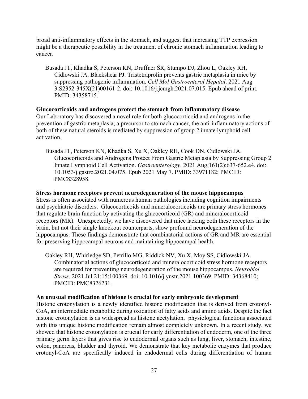broad anti-inflammatory effects in the stomach, and suggest that increasing TTP expression might be a therapeutic possibility in the treatment of chronic stomach inflammation leading to cancer.

Busada JT, Khadka S, Peterson KN, Druffner SR, Stumpo DJ, Zhou L, Oakley RH, Cidlowski JA, Blackshear PJ. Tristetraprolin prevents gastric metaplasia in mice by suppressing pathogenic inflammation. *Cell Mol Gastroenterol Hepatol*. 2021 Aug 3:S2352-345X(21)00161-2. doi: 10.1016/j.jcmgh.2021.07.015. Epub ahead of print. PMID: 34358715.

**Glucocorticoids and androgens protect the stomach from inflammatory disease**  Our Laboratory has discovered a novel role for both glucocorticoid and androgens in the prevention of gastric metaplasia, a precursor to stomach cancer, the anti-inflammatory actions of both of these natural steroids is mediated by suppression of group 2 innate lymphoid cell activation.

Busada JT, Peterson KN, Khadka S, Xu X, Oakley RH, Cook DN, Cidlowski JA. Glucocorticoids and Androgens Protect From Gastric Metaplasia by Suppressing Group 2 Innate Lymphoid Cell Activation. *Gastroenterology*. 2021 [Aug;161\(2\):637-652.e4.](https://Aug;161(2):637-652.e4) doi: 10.1053/j.gastro.2021.04.075. Epub 2021 May 7. PMID: 33971182; PMCID: PMC8328958.

#### **Stress hormone receptors prevent neurodegeneration of the mouse hippocampus**

Stress is often associated with numerous human pathologies including cognition impairments and psychiatric disorders. Glucocorticoids and mineralocorticoids are primary stress hormones that regulate brain function by activating the glucocorticoid (GR) and mineralocorticoid receptors (MR). Unexpectedly, we have discovered that mice lacking both these receptors in the brain, but not their single knockout counterparts, show profound neurodegeneration of the hippocampus. These findings demonstrate that combinatorial actions of GR and MR are essential for preserving hippocampal neurons and maintaining hippocampal health.

Oakley RH, Whirledge SD, Petrillo MG, Riddick NV, Xu X, Moy SS, Cidlowski JA. Combinatorial actions of glucocorticoid and mineralocorticoid stress hormone receptors are required for preventing neurodegeneration of the mouse hippocampus. *Neurobiol Stress*. 2021 Jul 21;15:100369. doi: 10.1016/j.ynstr.2021.100369. PMID: 34368410; PMCID: PMC8326231.

#### **An unusual modification of histone is crucial for early embryonic development**

Histone crotonylation is a newly identified histone modification that is derived from crotonyl-CoA, an intermediate metabolite during oxidation of fatty acids and amino acids. Despite the fact histone crotonylation is as widespread as histone acetylation, physiological functions associated with this unique histone modification remain almost completely unknown. In a recent study, we showed that histone crotonylation is crucial for early differentiation of endoderm, one of the three primary germ layers that gives rise to endodermal organs such as lung, liver, stomach, intestine, colon, pancreas, bladder and thyroid. We demonstrate that key metabolic enzymes that produce crotonyl-CoA are specifically induced in endodermal cells during differentiation of human